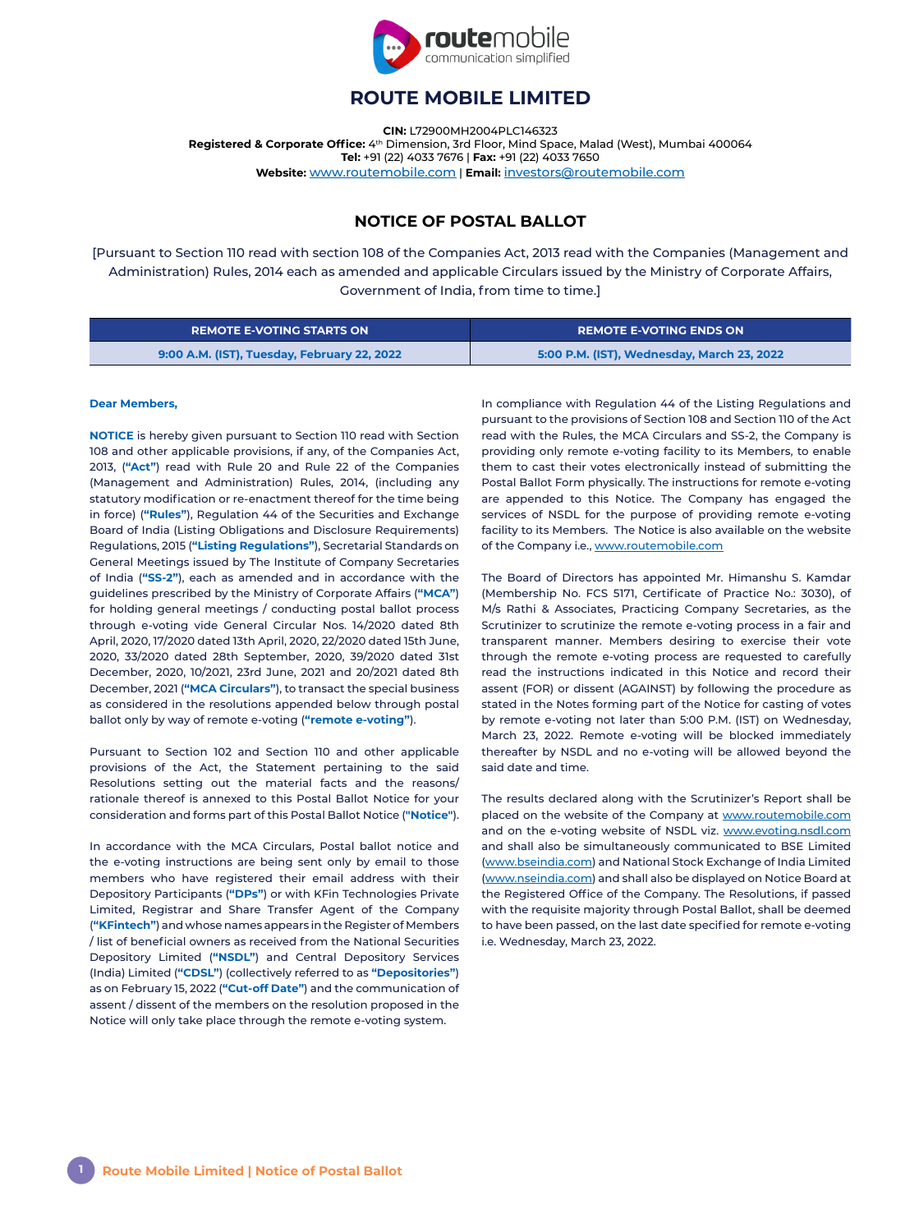

# **ROUTE MOBILE LIMITED**

**CIN:** L72900MH2004PLC146323 Registered & Corporate Office: 4<sup>th</sup> Dimension, 3rd Floor, Mind Space, Malad (West), Mumbai 400064 **Tel:** +91 (22) 4033 7676 | **Fax:** +91 (22) 4033 7650 **Website:** [www.routemobile.com](http://www.routemobile.com) | **Email:** [investors@routemobile.com](mailto:?subject=)

# **NOTICE OF POSTAL BALLOT**

[Pursuant to Section 110 read with section 108 of the Companies Act, 2013 read with the Companies (Management and Administration) Rules, 2014 each as amended and applicable Circulars issued by the Ministry of Corporate Affairs, Government of India, from time to time.]

| <b>REMOTE E-VOTING STARTS ON</b>            | <b>REMOTE E-VOTING ENDS ON</b>             |
|---------------------------------------------|--------------------------------------------|
| 9:00 A.M. (IST), Tuesday, February 22, 2022 | 5:00 P.M. (IST), Wednesday, March 23, 2022 |

#### **Dear Members,**

**NOTICE** is hereby given pursuant to Section 110 read with Section 108 and other applicable provisions, if any, of the Companies Act, 2013, (**"Act"**) read with Rule 20 and Rule 22 of the Companies (Management and Administration) Rules, 2014, (including any statutory modification or re-enactment thereof for the time being in force) (**"Rules"**), Regulation 44 of the Securities and Exchange Board of India (Listing Obligations and Disclosure Requirements) Regulations, 2015 (**"Listing Regulations"**), Secretarial Standards on General Meetings issued by The Institute of Company Secretaries of India (**"SS-2"**), each as amended and in accordance with the guidelines prescribed by the Ministry of Corporate Affairs (**"MCA"**) for holding general meetings / conducting postal ballot process through e-voting vide General Circular Nos. 14/2020 dated 8th April, 2020, 17/2020 dated 13th April, 2020, 22/2020 dated 15th June, 2020, 33/2020 dated 28th September, 2020, 39/2020 dated 31st December, 2020, 10/2021, 23rd June, 2021 and 20/2021 dated 8th December, 2021 (**"MCA Circulars"**), to transact the special business as considered in the resolutions appended below through postal ballot only by way of remote e-voting (**"remote e-voting"**).

Pursuant to Section 102 and Section 110 and other applicable provisions of the Act, the Statement pertaining to the said Resolutions setting out the material facts and the reasons/ rationale thereof is annexed to this Postal Ballot Notice for your consideration and forms part of this Postal Ballot Notice (**"Notice"**).

In accordance with the MCA Circulars, Postal ballot notice and the e-voting instructions are being sent only by email to those members who have registered their email address with their Depository Participants (**"DPs"**) or with KFin Technologies Private Limited, Registrar and Share Transfer Agent of the Company (**"KFintech"**) and whose names appears in the Register of Members / list of beneficial owners as received from the National Securities Depository Limited (**"NSDL"**) and Central Depository Services (India) Limited (**"CDSL"**) (collectively referred to as **"Depositories"**) as on February 15, 2022 (**"Cut-off Date"**) and the communication of assent / dissent of the members on the resolution proposed in the Notice will only take place through the remote e-voting system.

In compliance with Regulation 44 of the Listing Regulations and pursuant to the provisions of Section 108 and Section 110 of the Act read with the Rules, the MCA Circulars and SS-2, the Company is providing only remote e-voting facility to its Members, to enable them to cast their votes electronically instead of submitting the Postal Ballot Form physically. The instructions for remote e-voting are appended to this Notice. The Company has engaged the services of NSDL for the purpose of providing remote e-voting facility to its Members. The Notice is also available on the website of the Company i.e., [www.routemobile.com](http://www.routemobile.com)

The Board of Directors has appointed Mr. Himanshu S. Kamdar (Membership No. FCS 5171, Certificate of Practice No.: 3030), of M/s Rathi & Associates, Practicing Company Secretaries, as the Scrutinizer to scrutinize the remote e-voting process in a fair and transparent manner. Members desiring to exercise their vote through the remote e-voting process are requested to carefully read the instructions indicated in this Notice and record their assent (FOR) or dissent (AGAINST) by following the procedure as stated in the Notes forming part of the Notice for casting of votes by remote e-voting not later than 5:00 P.M. (IST) on Wednesday, March 23, 2022. Remote e-voting will be blocked immediately thereafter by NSDL and no e-voting will be allowed beyond the said date and time.

The results declared along with the Scrutinizer's Report shall be placed on the website of the Company at [www.routemobile.com](http://www.routemobile.com) and on the e-voting website of NSDL viz. [www.evoting.nsdl.com](http://www.evoting.nsdl.com) and shall also be simultaneously communicated to BSE Limited [\(www.bseindia.com\)](http://www.bseindia.com) and National Stock Exchange of India Limited [\(www.nseindia.com\)](http://www.nseindia.com) and shall also be displayed on Notice Board at the Registered Office of the Company. The Resolutions, if passed with the requisite majority through Postal Ballot, shall be deemed to have been passed, on the last date specified for remote e-voting i.e. Wednesday, March 23, 2022.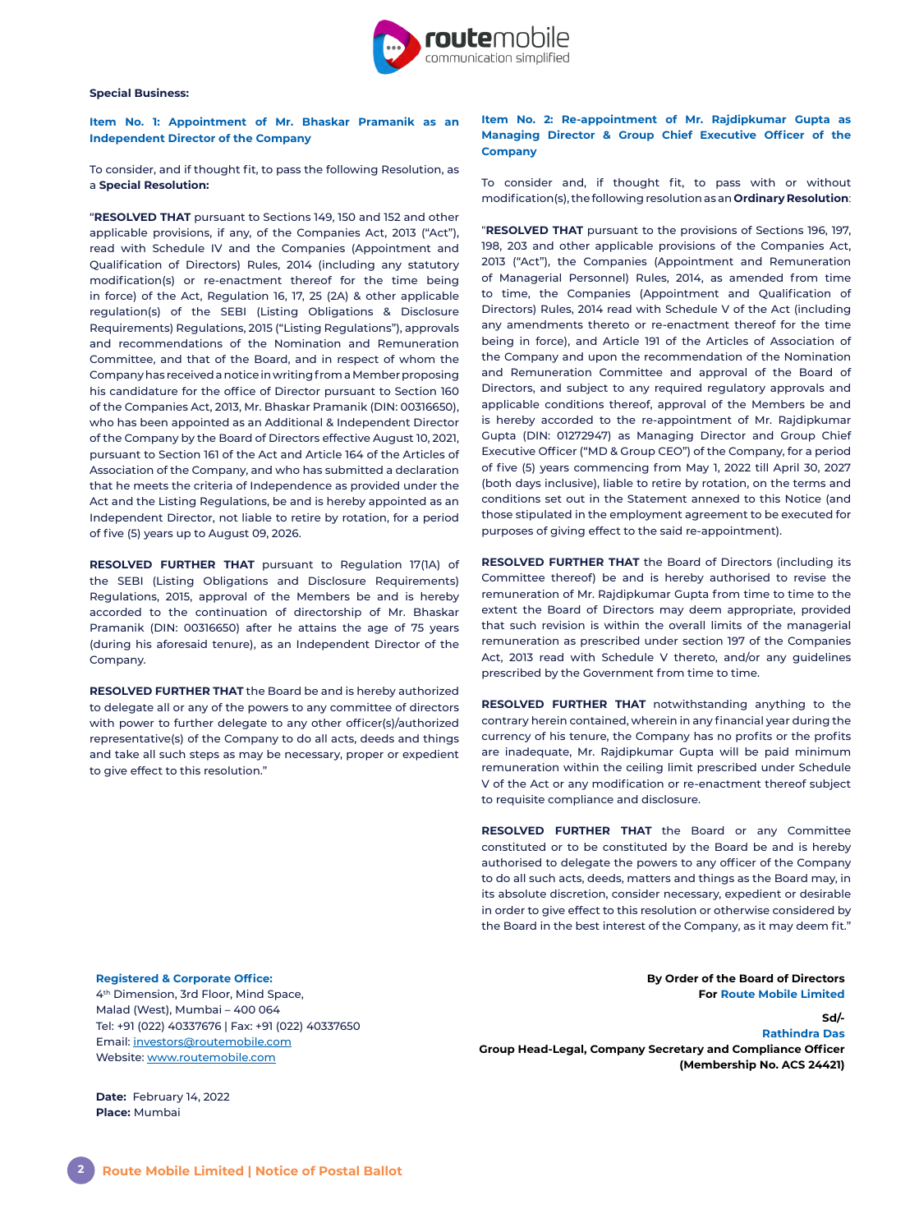

#### **Special Business:**

**Item No. 1: Appointment of Mr. Bhaskar Pramanik as an Independent Director of the Company**

To consider, and if thought fit, to pass the following Resolution, as a **Special Resolution:**

"**RESOLVED THAT** pursuant to Sections 149, 150 and 152 and other applicable provisions, if any, of the Companies Act, 2013 ("Act"), read with Schedule IV and the Companies (Appointment and Qualification of Directors) Rules, 2014 (including any statutory modification(s) or re-enactment thereof for the time being in force) of the Act, Regulation 16, 17, 25 (2A) & other applicable regulation(s) of the SEBI (Listing Obligations & Disclosure Requirements) Regulations, 2015 ("Listing Regulations"), approvals and recommendations of the Nomination and Remuneration Committee, and that of the Board, and in respect of whom the Company has received a notice in writing from a Member proposing his candidature for the office of Director pursuant to Section 160 of the Companies Act, 2013, Mr. Bhaskar Pramanik (DIN: 00316650), who has been appointed as an Additional & Independent Director of the Company by the Board of Directors effective August 10, 2021, pursuant to Section 161 of the Act and Article 164 of the Articles of Association of the Company, and who has submitted a declaration that he meets the criteria of Independence as provided under the Act and the Listing Regulations, be and is hereby appointed as an Independent Director, not liable to retire by rotation, for a period of five (5) years up to August 09, 2026.

**RESOLVED FURTHER THAT** pursuant to Regulation 17(1A) of the SEBI (Listing Obligations and Disclosure Requirements) Regulations, 2015, approval of the Members be and is hereby accorded to the continuation of directorship of Mr. Bhaskar Pramanik (DIN: 00316650) after he attains the age of 75 years (during his aforesaid tenure), as an Independent Director of the Company.

**RESOLVED FURTHER THAT** the Board be and is hereby authorized to delegate all or any of the powers to any committee of directors with power to further delegate to any other officer(s)/authorized representative(s) of the Company to do all acts, deeds and things and take all such steps as may be necessary, proper or expedient to give effect to this resolution."

## **Item No. 2: Re-appointment of Mr. Rajdipkumar Gupta as Managing Director & Group Chief Executive Officer of the Company**

To consider and, if thought fit, to pass with or without modification(s), the following resolution as an **Ordinary Resolution**:

"**RESOLVED THAT** pursuant to the provisions of Sections 196, 197, 198, 203 and other applicable provisions of the Companies Act, 2013 ("Act"), the Companies (Appointment and Remuneration of Managerial Personnel) Rules, 2014, as amended from time to time, the Companies (Appointment and Qualification of Directors) Rules, 2014 read with Schedule V of the Act (including any amendments thereto or re-enactment thereof for the time being in force), and Article 191 of the Articles of Association of the Company and upon the recommendation of the Nomination and Remuneration Committee and approval of the Board of Directors, and subject to any required regulatory approvals and applicable conditions thereof, approval of the Members be and is hereby accorded to the re-appointment of Mr. Rajdipkumar Gupta (DIN: 01272947) as Managing Director and Group Chief Executive Officer ("MD & Group CEO") of the Company, for a period of five (5) years commencing from May 1, 2022 till April 30, 2027 (both days inclusive), liable to retire by rotation, on the terms and conditions set out in the Statement annexed to this Notice (and those stipulated in the employment agreement to be executed for purposes of giving effect to the said re-appointment).

**RESOLVED FURTHER THAT** the Board of Directors (including its Committee thereof) be and is hereby authorised to revise the remuneration of Mr. Rajdipkumar Gupta from time to time to the extent the Board of Directors may deem appropriate, provided that such revision is within the overall limits of the managerial remuneration as prescribed under section 197 of the Companies Act, 2013 read with Schedule V thereto, and/or any guidelines prescribed by the Government from time to time.

**RESOLVED FURTHER THAT** notwithstanding anything to the contrary herein contained, wherein in any financial year during the currency of his tenure, the Company has no profits or the profits are inadequate, Mr. Rajdipkumar Gupta will be paid minimum remuneration within the ceiling limit prescribed under Schedule V of the Act or any modification or re-enactment thereof subject to requisite compliance and disclosure.

**RESOLVED FURTHER THAT** the Board or any Committee constituted or to be constituted by the Board be and is hereby authorised to delegate the powers to any officer of the Company to do all such acts, deeds, matters and things as the Board may, in its absolute discretion, consider necessary, expedient or desirable in order to give effect to this resolution or otherwise considered by the Board in the best interest of the Company, as it may deem fit."

**Registered & Corporate Office:** 

4th Dimension, 3rd Floor, Mind Space, Malad (West), Mumbai – 400 064 Tel: +91 (022) 40337676 | Fax: +91 (022) 40337650 Email: [investors@routemobile.com](mailto:investors%40routemobile.com?subject=) Website: [www.routemobile.com](http://www.routemobile.com)

**Date:** February 14, 2022 **Place:** Mumbai

**By Order of the Board of Directors For Route Mobile Limited**

**Sd/- Rathindra Das Group Head-Legal, Company Secretary and Compliance Officer (Membership No. ACS 24421)**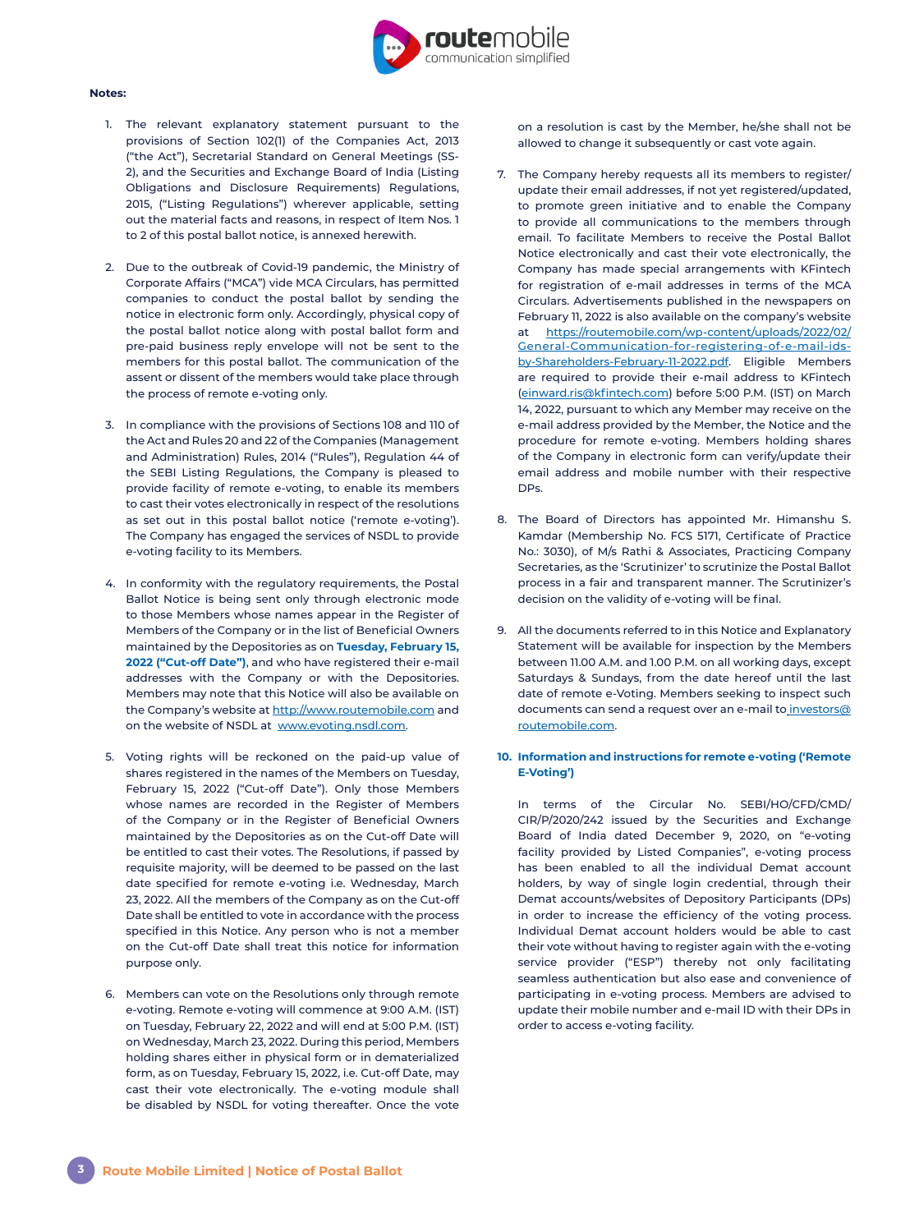

#### **Notes:**

- 1. The relevant explanatory statement pursuant to the provisions of Section 102(1) of the Companies Act, 2013 ("the Act"), Secretarial Standard on General Meetings (SS-2), and the Securities and Exchange Board of India (Listing Obligations and Disclosure Requirements) Regulations, 2015, ("Listing Regulations") wherever applicable, setting out the material facts and reasons, in respect of Item Nos. 1 to 2 of this postal ballot notice, is annexed herewith.
- 2. Due to the outbreak of Covid-19 pandemic, the Ministry of Corporate Affairs ("MCA") vide MCA Circulars, has permitted companies to conduct the postal ballot by sending the notice in electronic form only. Accordingly, physical copy of the postal ballot notice along with postal ballot form and pre-paid business reply envelope will not be sent to the members for this postal ballot. The communication of the assent or dissent of the members would take place through the process of remote e-voting only.
- 3. In compliance with the provisions of Sections 108 and 110 of the Act and Rules 20 and 22 of the Companies (Management and Administration) Rules, 2014 ("Rules"), Regulation 44 of the SEBI Listing Regulations, the Company is pleased to provide facility of remote e-voting, to enable its members to cast their votes electronically in respect of the resolutions as set out in this postal ballot notice ('remote e-voting'). The Company has engaged the services of NSDL to provide e-voting facility to its Members.
- 4. In conformity with the regulatory requirements, the Postal Ballot Notice is being sent only through electronic mode to those Members whose names appear in the Register of Members of the Company or in the list of Beneficial Owners maintained by the Depositories as on **Tuesday, February 15, 2022 ("Cut-off Date")**, and who have registered their e-mail addresses with the Company or with the Depositories. Members may note that this Notice will also be available on the Company's website at<http://www.routemobile.com> and on the website of NSDL at [www.evoting.nsdl.com.](http://www.evoting.nsdl.com)
- 5. Voting rights will be reckoned on the paid-up value of shares registered in the names of the Members on Tuesday, February 15, 2022 ("Cut-off Date"). Only those Members whose names are recorded in the Register of Members of the Company or in the Register of Beneficial Owners maintained by the Depositories as on the Cut-off Date will be entitled to cast their votes. The Resolutions, if passed by requisite majority, will be deemed to be passed on the last date specified for remote e-voting i.e. Wednesday, March 23, 2022. All the members of the Company as on the Cut-off Date shall be entitled to vote in accordance with the process specified in this Notice. Any person who is not a member on the Cut-off Date shall treat this notice for information purpose only.
- 6. Members can vote on the Resolutions only through remote e-voting. Remote e-voting will commence at 9:00 A.M. (IST) on Tuesday, February 22, 2022 and will end at 5:00 P.M. (IST) on Wednesday, March 23, 2022. During this period, Members holding shares either in physical form or in dematerialized form, as on Tuesday, February 15, 2022, i.e. Cut-off Date, may cast their vote electronically. The e-voting module shall be disabled by NSDL for voting thereafter. Once the vote

on a resolution is cast by the Member, he/she shall not be allowed to change it subsequently or cast vote again.

- 7. The Company hereby requests all its members to register/ update their email addresses, if not yet registered/updated, to promote green initiative and to enable the Company to provide all communications to the members through email. To facilitate Members to receive the Postal Ballot Notice electronically and cast their vote electronically, the Company has made special arrangements with KFintech for registration of e-mail addresses in terms of the MCA Circulars. Advertisements published in the newspapers on February 11, 2022 is also available on the company's website at [https://routemobile.com/wp-content/uploads/2022/02/](https://routemobile.com/wp-content/uploads/2022/02/General-Communication-for-registering-of-e-mail-ids-by-Shareholders-February-11-2022.pdf) [General-Communication-for-registering-of-e-mail-ids](https://routemobile.com/wp-content/uploads/2022/02/General-Communication-for-registering-of-e-mail-ids-by-Shareholders-February-11-2022.pdf)[by-Shareholders-February-11-2022.pdf](https://routemobile.com/wp-content/uploads/2022/02/General-Communication-for-registering-of-e-mail-ids-by-Shareholders-February-11-2022.pdf). Eligible Members are required to provide their e-mail address to KFintech [\(einward.ris@kfintech.com](mailto:einward.ris%40kfintech.com?subject=)) before 5:00 P.M. (IST) on March 14, 2022, pursuant to which any Member may receive on the e-mail address provided by the Member, the Notice and the procedure for remote e-voting. Members holding shares of the Company in electronic form can verify/update their email address and mobile number with their respective DPs.
- 8. The Board of Directors has appointed Mr. Himanshu S. Kamdar (Membership No. FCS 5171, Certificate of Practice No.: 3030), of M/s Rathi & Associates, Practicing Company Secretaries, as the 'Scrutinizer' to scrutinize the Postal Ballot process in a fair and transparent manner. The Scrutinizer's decision on the validity of e-voting will be final.
- 9. All the documents referred to in this Notice and Explanatory Statement will be available for inspection by the Members between 11.00 A.M. and 1.00 P.M. on all working days, except Saturdays & Sundays, from the date hereof until the last date of remote e-Voting. Members seeking to inspect such documents can send a request over an e-mail to [investors@](mailto:%20investors%40routemobile.com?subject=) [routemobile.com.](mailto:%20investors%40routemobile.com?subject=)

# **10. Information and instructions for remote e-voting ('Remote E-Voting')**

In terms of the Circular No. SEBI/HO/CFD/CMD/ CIR/P/2020/242 issued by the Securities and Exchange Board of India dated December 9, 2020, on "e-voting facility provided by Listed Companies", e-voting process has been enabled to all the individual Demat account holders, by way of single login credential, through their Demat accounts/websites of Depository Participants (DPs) in order to increase the efficiency of the voting process. Individual Demat account holders would be able to cast their vote without having to register again with the e-voting service provider ("ESP") thereby not only facilitating seamless authentication but also ease and convenience of participating in e-voting process. Members are advised to update their mobile number and e-mail ID with their DPs in order to access e-voting facility.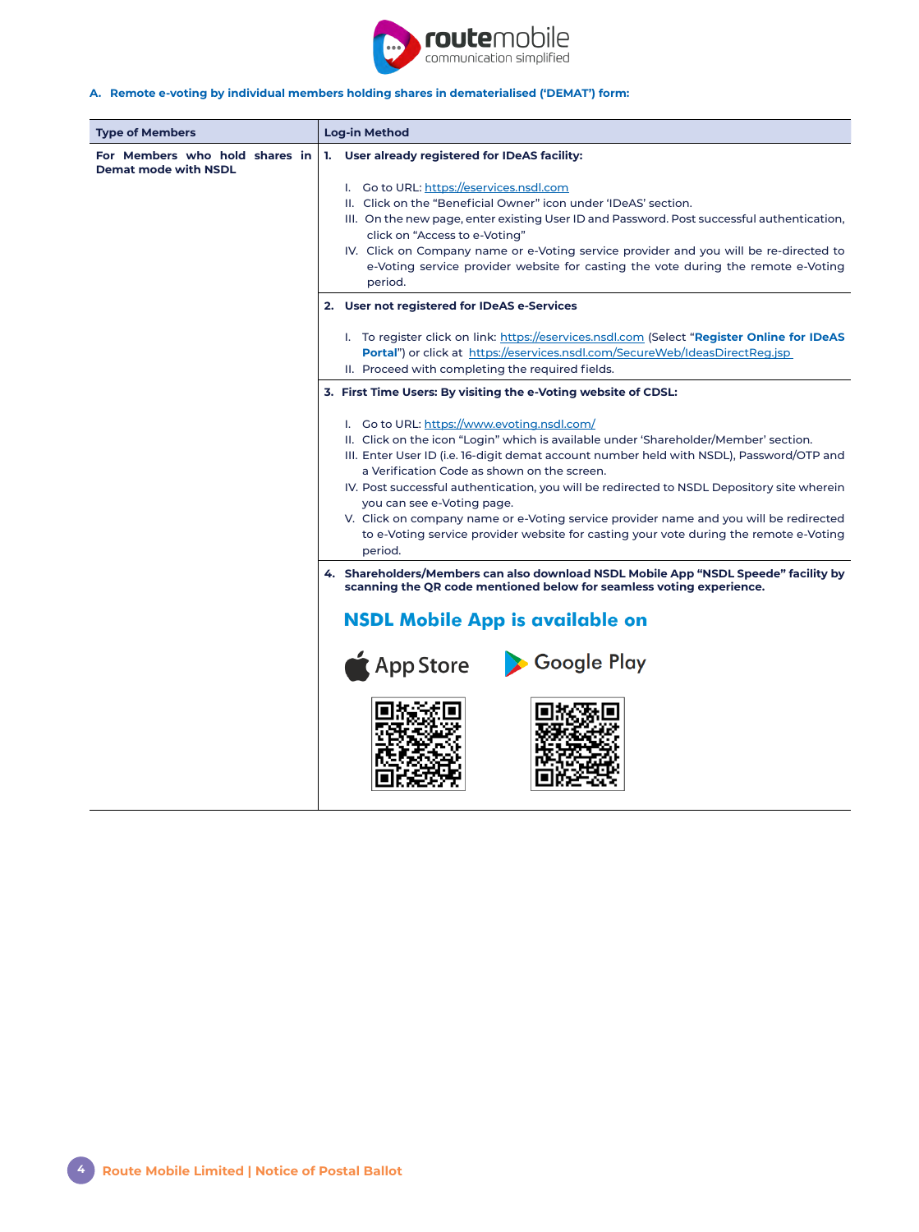

# **A. Remote e-voting by individual members holding shares in dematerialised ('DEMAT') form:**

| <b>Type of Members</b>                                        | Log-in Method                                                                                                                                                                                                                                                                                                                                                                                                                                                                                                                                                                                                                                                                                                                                                          |  |
|---------------------------------------------------------------|------------------------------------------------------------------------------------------------------------------------------------------------------------------------------------------------------------------------------------------------------------------------------------------------------------------------------------------------------------------------------------------------------------------------------------------------------------------------------------------------------------------------------------------------------------------------------------------------------------------------------------------------------------------------------------------------------------------------------------------------------------------------|--|
| For Members who hold shares in<br><b>Demat mode with NSDL</b> | User already registered for IDeAS facility:<br>1.<br>I. Go to URL: https://eservices.nsdl.com<br>II. Click on the "Beneficial Owner" icon under 'IDeAS' section.<br>III. On the new page, enter existing User ID and Password. Post successful authentication,<br>click on "Access to e-Voting"<br>IV. Click on Company name or e-Voting service provider and you will be re-directed to<br>e-Voting service provider website for casting the vote during the remote e-Voting                                                                                                                                                                                                                                                                                          |  |
|                                                               | period.                                                                                                                                                                                                                                                                                                                                                                                                                                                                                                                                                                                                                                                                                                                                                                |  |
|                                                               | 2. User not registered for IDeAS e-Services                                                                                                                                                                                                                                                                                                                                                                                                                                                                                                                                                                                                                                                                                                                            |  |
|                                                               | I. To register click on link: https://eservices.nsdl.com (Select "Register Online for IDeAS<br>Portal") or click at https://eservices.nsdl.com/SecureWeb/IdeasDirectReg.jsp<br>II. Proceed with completing the required fields.                                                                                                                                                                                                                                                                                                                                                                                                                                                                                                                                        |  |
|                                                               | 3. First Time Users: By visiting the e-Voting website of CDSL:                                                                                                                                                                                                                                                                                                                                                                                                                                                                                                                                                                                                                                                                                                         |  |
|                                                               | I. Go to URL: https://www.evoting.nsdl.com/<br>II. Click on the icon "Login" which is available under 'Shareholder/Member' section.<br>III. Enter User ID (i.e. 16-digit demat account number held with NSDL), Password/OTP and<br>a Verification Code as shown on the screen.<br>IV. Post successful authentication, you will be redirected to NSDL Depository site wherein<br>you can see e-Voting page.<br>V. Click on company name or e-Voting service provider name and you will be redirected<br>to e-Voting service provider website for casting your vote during the remote e-Voting<br>period.<br>4. Shareholders/Members can also download NSDL Mobile App "NSDL Speede" facility by<br>scanning the QR code mentioned below for seamless voting experience. |  |
|                                                               |                                                                                                                                                                                                                                                                                                                                                                                                                                                                                                                                                                                                                                                                                                                                                                        |  |
|                                                               | <b>NSDL Mobile App is available on</b><br><b>App Store</b><br>Google Play                                                                                                                                                                                                                                                                                                                                                                                                                                                                                                                                                                                                                                                                                              |  |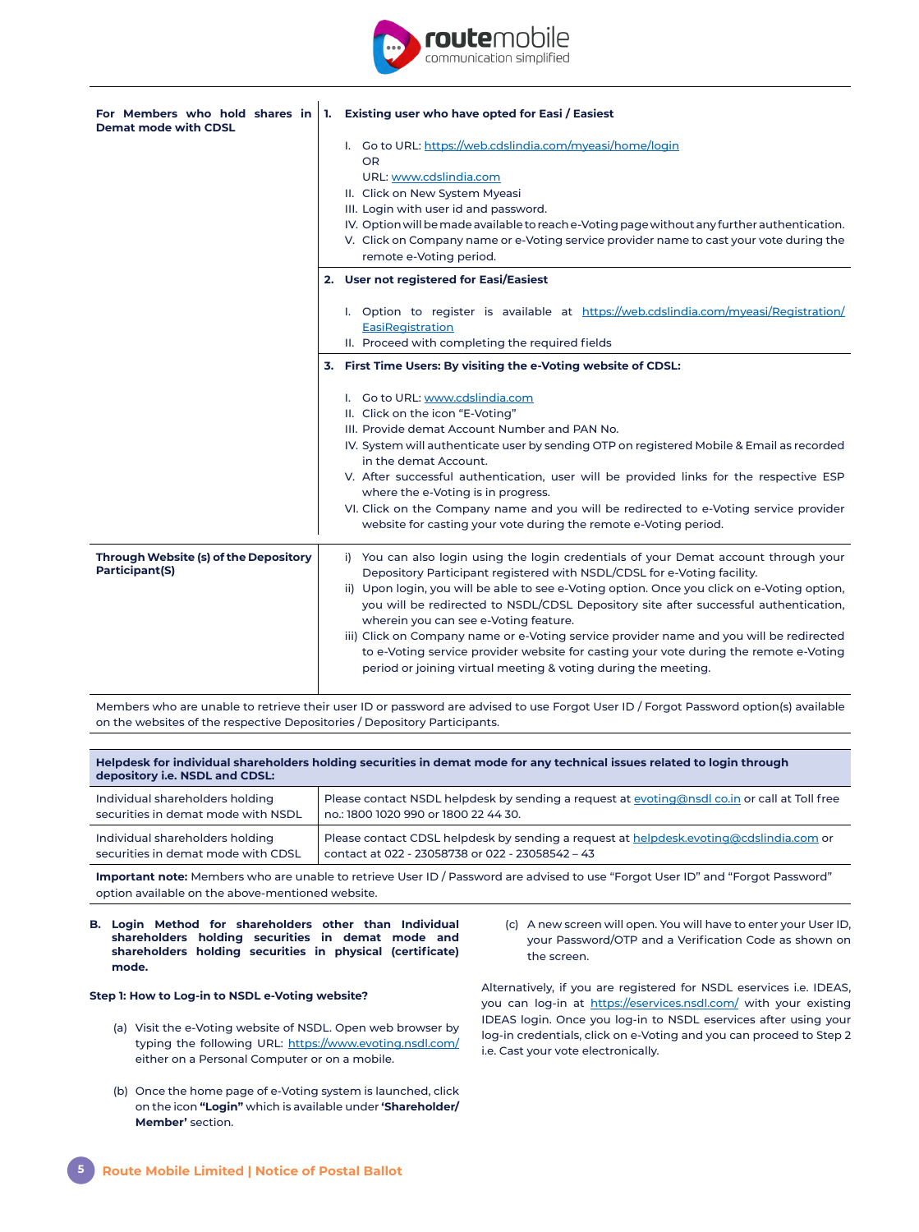

| For Members who hold shares in<br><b>Demat mode with CDSL</b> | 1. | Existing user who have opted for Easi / Easiest                                                                                                                                                                                                                                                                                                                                                                                                                                                                                                                                                                                                       |
|---------------------------------------------------------------|----|-------------------------------------------------------------------------------------------------------------------------------------------------------------------------------------------------------------------------------------------------------------------------------------------------------------------------------------------------------------------------------------------------------------------------------------------------------------------------------------------------------------------------------------------------------------------------------------------------------------------------------------------------------|
|                                                               |    | I. Go to URL: https://web.cdslindia.com/myeasi/home/login<br><b>OR</b><br>URL: www.cdslindia.com<br>II. Click on New System Myeasi<br>III. Login with user id and password.<br>IV. Option will be made available to reach e-Voting page without any further authentication.<br>V. Click on Company name or e-Voting service provider name to cast your vote during the<br>remote e-Voting period.                                                                                                                                                                                                                                                     |
|                                                               |    | 2. User not registered for Easi/Easiest                                                                                                                                                                                                                                                                                                                                                                                                                                                                                                                                                                                                               |
|                                                               |    | I. Option to register is available at https://web.cdslindia.com/myeasi/Registration/<br>EasiRegistration<br>II. Proceed with completing the required fields                                                                                                                                                                                                                                                                                                                                                                                                                                                                                           |
|                                                               |    | 3. First Time Users: By visiting the e-Voting website of CDSL:                                                                                                                                                                                                                                                                                                                                                                                                                                                                                                                                                                                        |
|                                                               |    | I. Go to URL: www.cdslindia.com<br>II. Click on the icon "E-Voting"<br>III. Provide demat Account Number and PAN No.<br>IV. System will authenticate user by sending OTP on registered Mobile & Email as recorded<br>in the demat Account.<br>V. After successful authentication, user will be provided links for the respective ESP<br>where the e-Voting is in progress.<br>VI. Click on the Company name and you will be redirected to e-Voting service provider<br>website for casting your vote during the remote e-Voting period.                                                                                                               |
| Through Website (s) of the Depository<br>Participant(S)       |    | i) You can also login using the login credentials of your Demat account through your<br>Depository Participant registered with NSDL/CDSL for e-Voting facility.<br>ii) Upon login, you will be able to see e-Voting option. Once you click on e-Voting option,<br>you will be redirected to NSDL/CDSL Depository site after successful authentication,<br>wherein you can see e-Voting feature.<br>iii) Click on Company name or e-Voting service provider name and you will be redirected<br>to e-Voting service provider website for casting your vote during the remote e-Voting<br>period or joining virtual meeting & voting during the meeting. |

Members who are unable to retrieve their user ID or password are advised to use Forgot User ID / Forgot Password option(s) available on the websites of the respective Depositories / Depository Participants.

| Helpdesk for individual shareholders holding securities in demat mode for any technical issues related to login through<br>depository i.e. NSDL and CDSL: |                                                                                              |  |
|-----------------------------------------------------------------------------------------------------------------------------------------------------------|----------------------------------------------------------------------------------------------|--|
| Individual shareholders holding                                                                                                                           | Please contact NSDL helpdesk by sending a request at evoting@nsdl co.in or call at Toll free |  |
| securities in demat mode with NSDL                                                                                                                        | no.: 1800 1020 990 or 1800 22 44 30.                                                         |  |
| Individual shareholders holding                                                                                                                           | Please contact CDSL helpdesk by sending a request at helpdesk.evoting@cdslindia.com or       |  |
| securities in demat mode with CDSL                                                                                                                        | contact at 022 - 23058738 or 022 - 23058542 - 43                                             |  |

**Important note:** Members who are unable to retrieve User ID / Password are advised to use "Forgot User ID" and "Forgot Password" option available on the above-mentioned website.

**B. Login Method for shareholders other than Individual shareholders holding securities in demat mode and shareholders holding securities in physical (certificate) mode.**

#### **Step 1: How to Log-in to NSDL e-Voting website?**

- (a) Visit the e-Voting website of NSDL. Open web browser by typing the following URL: https://www.evoting.nsdl.com/ either on a Personal Computer or on a mobile.
- (b) Once the home page of e-Voting system is launched, click on the icon **"Login"** which is available under **'Shareholder/ Member'** section.

(c) A new screen will open. You will have to enter your User ID, your Password/OTP and a Verification Code as shown on the screen.

Alternatively, if you are registered for NSDL eservices i.e. IDEAS, you can log-in at <https://eservices.nsdl.com/> with your existing IDEAS login. Once you log-in to NSDL eservices after using your log-in credentials, click on e-Voting and you can proceed to Step 2 i.e. Cast your vote electronically.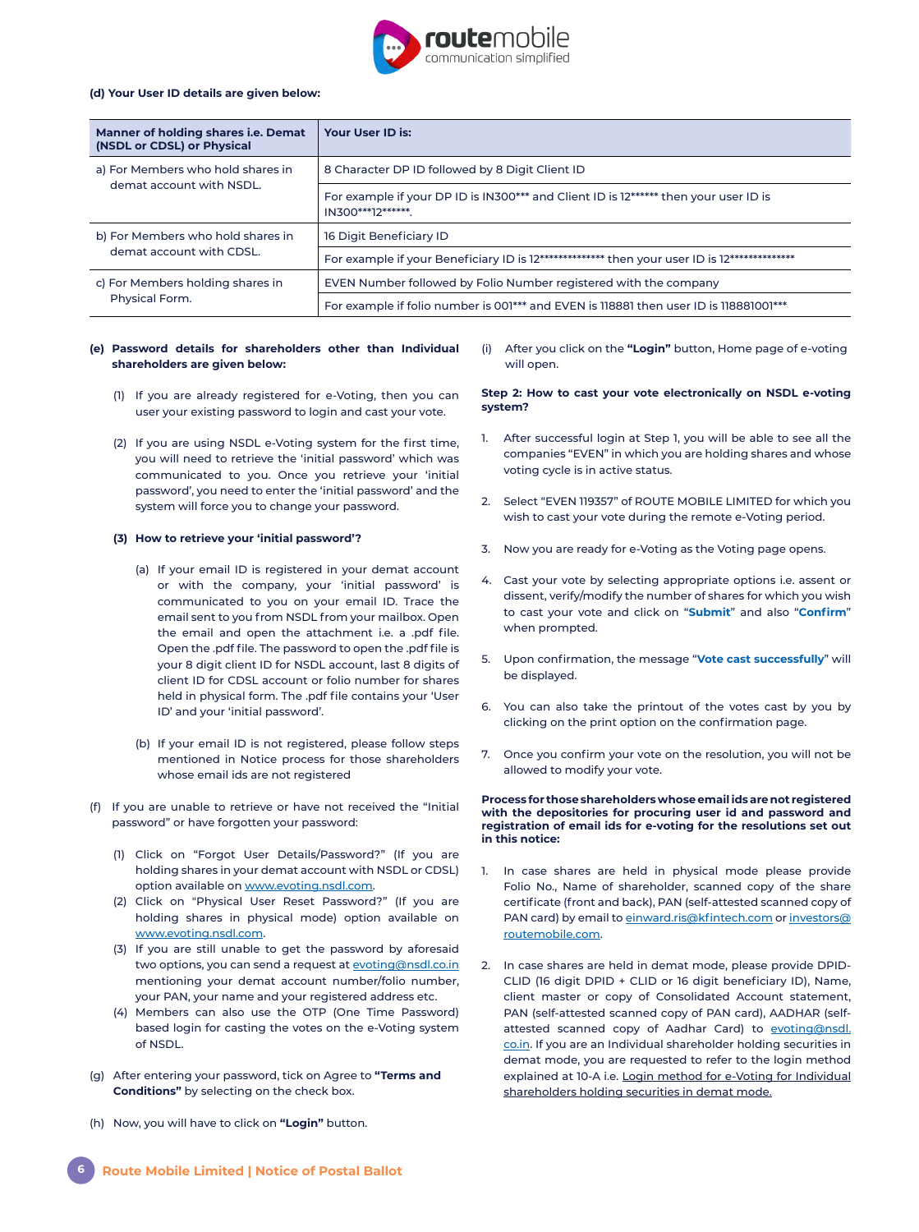

#### **(d) Your User ID details are given below:**

| Manner of holding shares i.e. Demat<br>(NSDL or CDSL) or Physical | Your User ID is:                                                                                          |
|-------------------------------------------------------------------|-----------------------------------------------------------------------------------------------------------|
| a) For Members who hold shares in                                 | 8 Character DP ID followed by 8 Digit Client ID                                                           |
| demat account with NSDL.                                          | For example if your DP ID is IN300*** and Client ID is 12****** then your user ID is<br>IN300***12******. |
| b) For Members who hold shares in                                 | 16 Digit Beneficiary ID                                                                                   |
| demat account with CDSL.                                          | For example if your Beneficiary ID is 12************** then your user ID is 12**************              |
| c) For Members holding shares in<br>Physical Form.                | EVEN Number followed by Folio Number registered with the company                                          |
|                                                                   | For example if folio number is 001*** and EVEN is 118881 then user ID is 118881001***                     |

## **(e) Password details for shareholders other than Individual shareholders are given below:**

- (1) If you are already registered for e-Voting, then you can user your existing password to login and cast your vote.
- (2) If you are using NSDL e-Voting system for the first time, you will need to retrieve the 'initial password' which was communicated to you. Once you retrieve your 'initial password', you need to enter the 'initial password' and the system will force you to change your password.

### **(3) How to retrieve your 'initial password'?**

- (a) If your email ID is registered in your demat account or with the company, your 'initial password' is communicated to you on your email ID. Trace the email sent to you from NSDL from your mailbox. Open the email and open the attachment i.e. a .pdf file. Open the .pdf file. The password to open the .pdf file is your 8 digit client ID for NSDL account, last 8 digits of client ID for CDSL account or folio number for shares held in physical form. The .pdf file contains your 'User ID' and your 'initial password'.
- (b) If your email ID is not registered, please follow steps mentioned in Notice process for those shareholders whose email ids are not registered
- (f) If you are unable to retrieve or have not received the "Initial password" or have forgotten your password:
	- (1) Click on "Forgot User Details/Password?" (If you are holding shares in your demat account with NSDL or CDSL) option available on [www.evoting.nsdl.com.](http://www.evoting.nsdl.com)
	- (2) Click on "Physical User Reset Password?" (If you are holding shares in physical mode) option available on [www.evoting.nsdl.com.](http://www.evoting.nsdl.com)
	- (3) If you are still unable to get the password by aforesaid two options, you can send a request at [evoting@nsdl.co.in](mailto:evoting%40nsdl.co.in?subject=) mentioning your demat account number/folio number, your PAN, your name and your registered address etc.
	- (4) Members can also use the OTP (One Time Password) based login for casting the votes on the e-Voting system of NSDL.
- (g) After entering your password, tick on Agree to **"Terms and Conditions"** by selecting on the check box.
- (h) Now, you will have to click on **"Login"** button.

(i) After you click on the **"Login"** button, Home page of e-voting will open.

**Step 2: How to cast your vote electronically on NSDL e-voting system?**

- 1. After successful login at Step 1, you will be able to see all the companies "EVEN" in which you are holding shares and whose voting cycle is in active status.
- 2. Select "EVEN 119357" of ROUTE MOBILE LIMITED for which you wish to cast your vote during the remote e-Voting period.
- 3. Now you are ready for e-Voting as the Voting page opens.
- 4. Cast your vote by selecting appropriate options i.e. assent or dissent, verify/modify the number of shares for which you wish to cast your vote and click on "**Submit**" and also "**Confirm**" when prompted.
- 5. Upon confirmation, the message "**Vote cast successfully**" will be displayed.
- 6. You can also take the printout of the votes cast by you by clicking on the print option on the confirmation page.
- 7. Once you confirm your vote on the resolution, you will not be allowed to modify your vote.

#### **Process for those shareholders whose email ids are not registered with the depositories for procuring user id and password and registration of email ids for e-voting for the resolutions set out in this notice:**

- 1. In case shares are held in physical mode please provide Folio No., Name of shareholder, scanned copy of the share certificate (front and back), PAN (self-attested scanned copy of PAN card) by email to [einward.ris@kfintech.com](mailto:einward.ris%40kfintech.com?subject=) or [investors@](mailto:investors%40routemobile.com?subject=) [routemobile.com.](mailto:investors%40routemobile.com?subject=)
- 2. In case shares are held in demat mode, please provide DPID-CLID (16 digit DPID + CLID or 16 digit beneficiary ID), Name, client master or copy of Consolidated Account statement, PAN (self-attested scanned copy of PAN card), AADHAR (selfattested scanned copy of Aadhar Card) to [evoting@nsdl.](mailto:evoting%40nsdl.co.in?subject=) [co.in](mailto:evoting%40nsdl.co.in?subject=). If you are an Individual shareholder holding securities in demat mode, you are requested to refer to the login method explained at 10-A i.e. Login method for e-Voting for Individual shareholders holding securities in demat mode.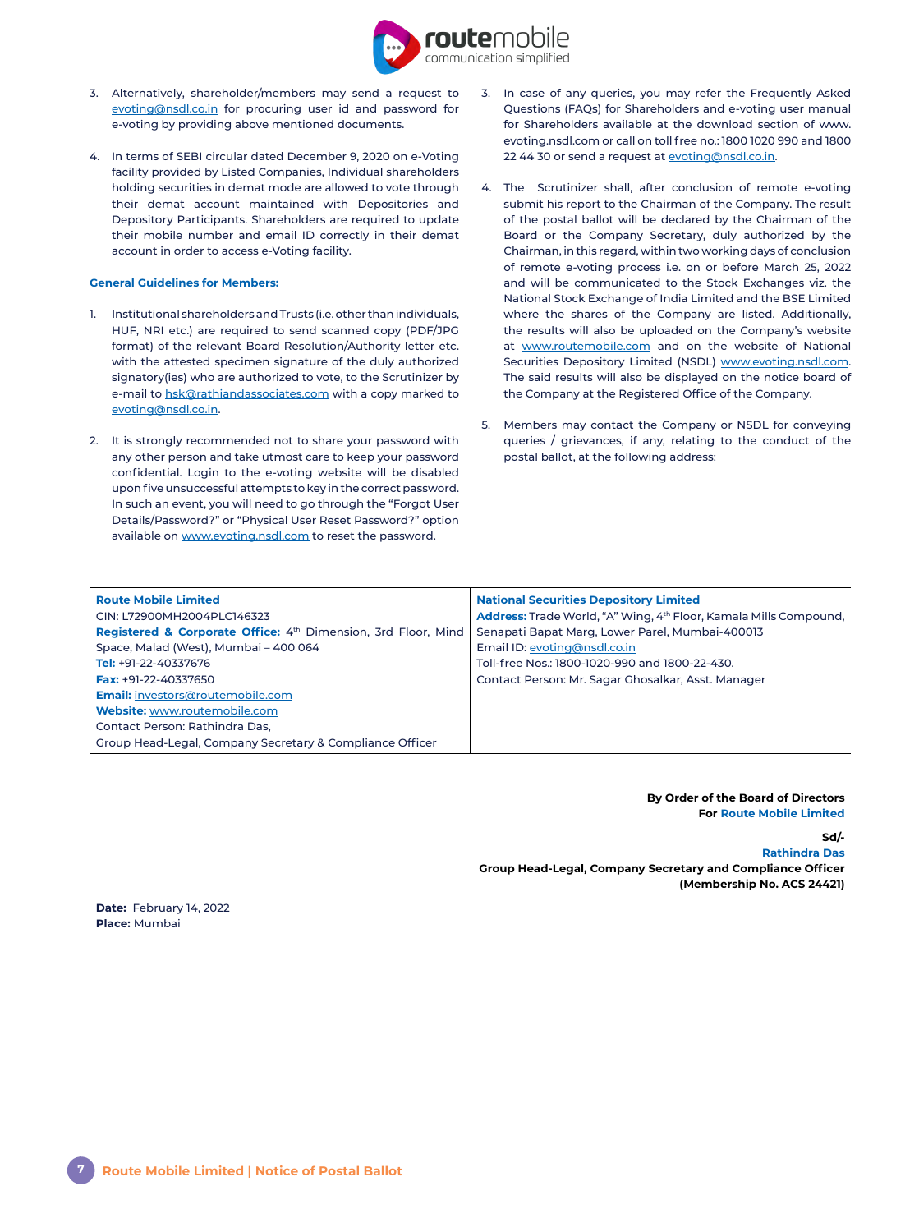

- 3. Alternatively, shareholder/members may send a request to [evoting@nsdl.co.in](mailto:evoting%40nsdl.co.in?subject=) for procuring user id and password for e-voting by providing above mentioned documents.
- 4. In terms of SEBI circular dated December 9, 2020 on e-Voting facility provided by Listed Companies, Individual shareholders holding securities in demat mode are allowed to vote through their demat account maintained with Depositories and Depository Participants. Shareholders are required to update their mobile number and email ID correctly in their demat account in order to access e-Voting facility.

#### **General Guidelines for Members:**

- 1. Institutional shareholders and Trusts (i.e. other than individuals, HUF, NRI etc.) are required to send scanned copy (PDF/JPG format) of the relevant Board Resolution/Authority letter etc. with the attested specimen signature of the duly authorized signatory(ies) who are authorized to vote, to the Scrutinizer by e-mail to [hsk@rathiandassociates.com](mailto:hsk%40rathiandassociates.com?subject=) with a copy marked to [evoting@nsdl.co.in.](mailto:evoting%40nsdl.co.in?subject=)
- 2. It is strongly recommended not to share your password with any other person and take utmost care to keep your password confidential. Login to the e-voting website will be disabled upon five unsuccessful attempts to key in the correct password. In such an event, you will need to go through the "Forgot User Details/Password?" or "Physical User Reset Password?" option available on [www.evoting.nsdl.com](http://www.evoting.nsdl.com) to reset the password.
- 3. In case of any queries, you may refer the Frequently Asked Questions (FAQs) for Shareholders and e-voting user manual for Shareholders available at the download section of www. evoting.nsdl.com or call on toll free no.: 1800 1020 990 and 1800 22 44 30 or send a request at [evoting@nsdl.co.in](mailto:evoting%40nsdl.co.in?subject=).
- 4. The Scrutinizer shall, after conclusion of remote e-voting submit his report to the Chairman of the Company. The result of the postal ballot will be declared by the Chairman of the Board or the Company Secretary, duly authorized by the Chairman, in this regard, within two working days of conclusion of remote e-voting process i.e. on or before March 25, 2022 and will be communicated to the Stock Exchanges viz. the National Stock Exchange of India Limited and the BSE Limited where the shares of the Company are listed. Additionally, the results will also be uploaded on the Company's website at [www.routemobile.com](http://www.routemobile.com) and on the website of National Securities Depository Limited (NSDL) [www.evoting.nsdl.com.](http://www.evoting.nsdl.com) The said results will also be displayed on the notice board of the Company at the Registered Office of the Company.
- 5. Members may contact the Company or NSDL for conveying queries / grievances, if any, relating to the conduct of the postal ballot, at the following address:

| <b>Route Mobile Limited</b>                                   | <b>National Securities Depository Limited</b>                            |
|---------------------------------------------------------------|--------------------------------------------------------------------------|
| CIN: L72900MH2004PLC146323                                    | <b>Address:</b> Trade World, "A" Wing, 4th Floor, Kamala Mills Compound, |
| Registered & Corporate Office: 4th Dimension, 3rd Floor, Mind | Senapati Bapat Marg, Lower Parel, Mumbai-400013                          |
| Space, Malad (West), Mumbai - 400 064                         | Email ID: evoting@nsdl.co.in                                             |
| Tel: +91-22-40337676                                          | Toll-free Nos.: 1800-1020-990 and 1800-22-430.                           |
| Fax: $+91-22-40337650$                                        | Contact Person: Mr. Sagar Ghosalkar, Asst. Manager                       |
| <b>Email:</b> investors@routemobile.com                       |                                                                          |
| <b>Website:</b> www.routemobile.com                           |                                                                          |
| Contact Person: Rathindra Das.                                |                                                                          |
| Group Head-Legal, Company Secretary & Compliance Officer      |                                                                          |

**By Order of the Board of Directors For Route Mobile Limited**

**Sd/-**

#### **Rathindra Das**

**Group Head-Legal, Company Secretary and Compliance Officer (Membership No. ACS 24421)**

**Date:** February 14, 2022 **Place:** Mumbai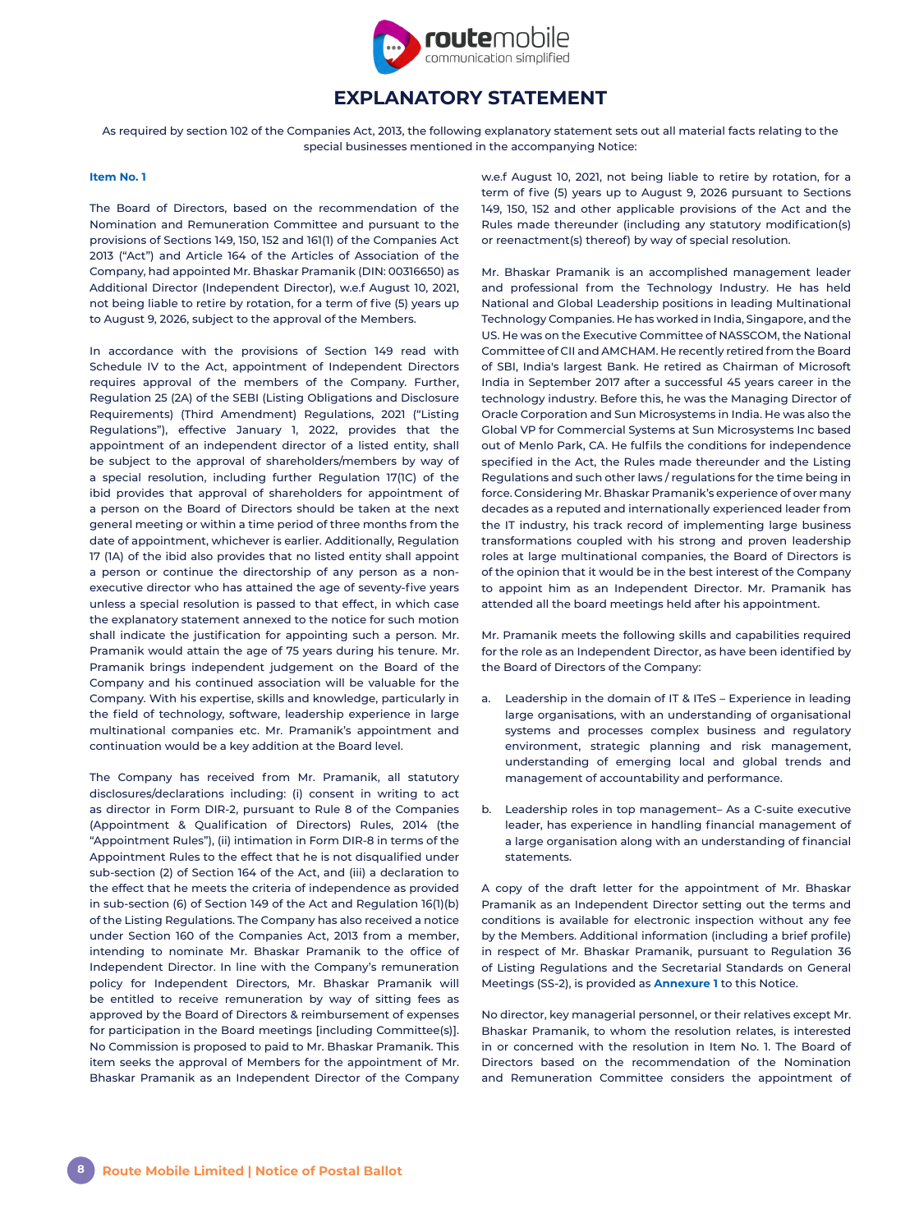

# **EXPLANATORY STATEMENT**

As required by section 102 of the Companies Act, 2013, the following explanatory statement sets out all material facts relating to the special businesses mentioned in the accompanying Notice:

### **Item No. 1**

The Board of Directors, based on the recommendation of the Nomination and Remuneration Committee and pursuant to the provisions of Sections 149, 150, 152 and 161(1) of the Companies Act 2013 ("Act") and Article 164 of the Articles of Association of the Company, had appointed Mr. Bhaskar Pramanik (DIN: 00316650) as Additional Director (Independent Director), w.e.f August 10, 2021, not being liable to retire by rotation, for a term of five (5) years up to August 9, 2026, subject to the approval of the Members.

In accordance with the provisions of Section 149 read with Schedule IV to the Act, appointment of Independent Directors requires approval of the members of the Company. Further, Regulation 25 (2A) of the SEBI (Listing Obligations and Disclosure Requirements) (Third Amendment) Regulations, 2021 ("Listing Regulations"), effective January 1, 2022, provides that the appointment of an independent director of a listed entity, shall be subject to the approval of shareholders/members by way of a special resolution, including further Regulation 17(1C) of the ibid provides that approval of shareholders for appointment of a person on the Board of Directors should be taken at the next general meeting or within a time period of three months from the date of appointment, whichever is earlier. Additionally, Regulation 17 (1A) of the ibid also provides that no listed entity shall appoint a person or continue the directorship of any person as a nonexecutive director who has attained the age of seventy-five years unless a special resolution is passed to that effect, in which case the explanatory statement annexed to the notice for such motion shall indicate the justification for appointing such a person. Mr. Pramanik would attain the age of 75 years during his tenure. Mr. Pramanik brings independent judgement on the Board of the Company and his continued association will be valuable for the Company. With his expertise, skills and knowledge, particularly in the field of technology, software, leadership experience in large multinational companies etc. Mr. Pramanik's appointment and continuation would be a key addition at the Board level.

The Company has received from Mr. Pramanik, all statutory disclosures/declarations including: (i) consent in writing to act as director in Form DIR-2, pursuant to Rule 8 of the Companies (Appointment & Qualification of Directors) Rules, 2014 (the "Appointment Rules"), (ii) intimation in Form DIR-8 in terms of the Appointment Rules to the effect that he is not disqualified under sub-section (2) of Section 164 of the Act, and (iii) a declaration to the effect that he meets the criteria of independence as provided in sub-section (6) of Section 149 of the Act and Regulation 16(1)(b) of the Listing Regulations. The Company has also received a notice under Section 160 of the Companies Act, 2013 from a member, intending to nominate Mr. Bhaskar Pramanik to the office of Independent Director. In line with the Company's remuneration policy for Independent Directors, Mr. Bhaskar Pramanik will be entitled to receive remuneration by way of sitting fees as approved by the Board of Directors & reimbursement of expenses for participation in the Board meetings [including Committee(s)]. No Commission is proposed to paid to Mr. Bhaskar Pramanik. This item seeks the approval of Members for the appointment of Mr. Bhaskar Pramanik as an Independent Director of the Company w.e.f August 10, 2021, not being liable to retire by rotation, for a term of five (5) years up to August 9, 2026 pursuant to Sections 149, 150, 152 and other applicable provisions of the Act and the Rules made thereunder (including any statutory modification(s) or reenactment(s) thereof) by way of special resolution.

Mr. Bhaskar Pramanik is an accomplished management leader and professional from the Technology Industry. He has held National and Global Leadership positions in leading Multinational Technology Companies. He has worked in India, Singapore, and the US. He was on the Executive Committee of NASSCOM, the National Committee of CII and AMCHAM. He recently retired from the Board of SBI, India's largest Bank. He retired as Chairman of Microsoft India in September 2017 after a successful 45 years career in the technology industry. Before this, he was the Managing Director of Oracle Corporation and Sun Microsystems in India. He was also the Global VP for Commercial Systems at Sun Microsystems Inc based out of Menlo Park, CA. He fulfils the conditions for independence specified in the Act, the Rules made thereunder and the Listing Regulations and such other laws / regulations for the time being in force. Considering Mr. Bhaskar Pramanik's experience of over many decades as a reputed and internationally experienced leader from the IT industry, his track record of implementing large business transformations coupled with his strong and proven leadership roles at large multinational companies, the Board of Directors is of the opinion that it would be in the best interest of the Company to appoint him as an Independent Director. Mr. Pramanik has attended all the board meetings held after his appointment.

Mr. Pramanik meets the following skills and capabilities required for the role as an Independent Director, as have been identified by the Board of Directors of the Company:

- a. Leadership in the domain of IT & ITeS Experience in leading large organisations, with an understanding of organisational systems and processes complex business and regulatory environment, strategic planning and risk management, understanding of emerging local and global trends and management of accountability and performance.
- b. Leadership roles in top management– As a C-suite executive leader, has experience in handling financial management of a large organisation along with an understanding of financial statements.

A copy of the draft letter for the appointment of Mr. Bhaskar Pramanik as an Independent Director setting out the terms and conditions is available for electronic inspection without any fee by the Members. Additional information (including a brief profile) in respect of Mr. Bhaskar Pramanik, pursuant to Regulation 36 of Listing Regulations and the Secretarial Standards on General Meetings (SS-2), is provided as **Annexure 1** to this Notice.

No director, key managerial personnel, or their relatives except Mr. Bhaskar Pramanik, to whom the resolution relates, is interested in or concerned with the resolution in Item No. 1. The Board of Directors based on the recommendation of the Nomination and Remuneration Committee considers the appointment of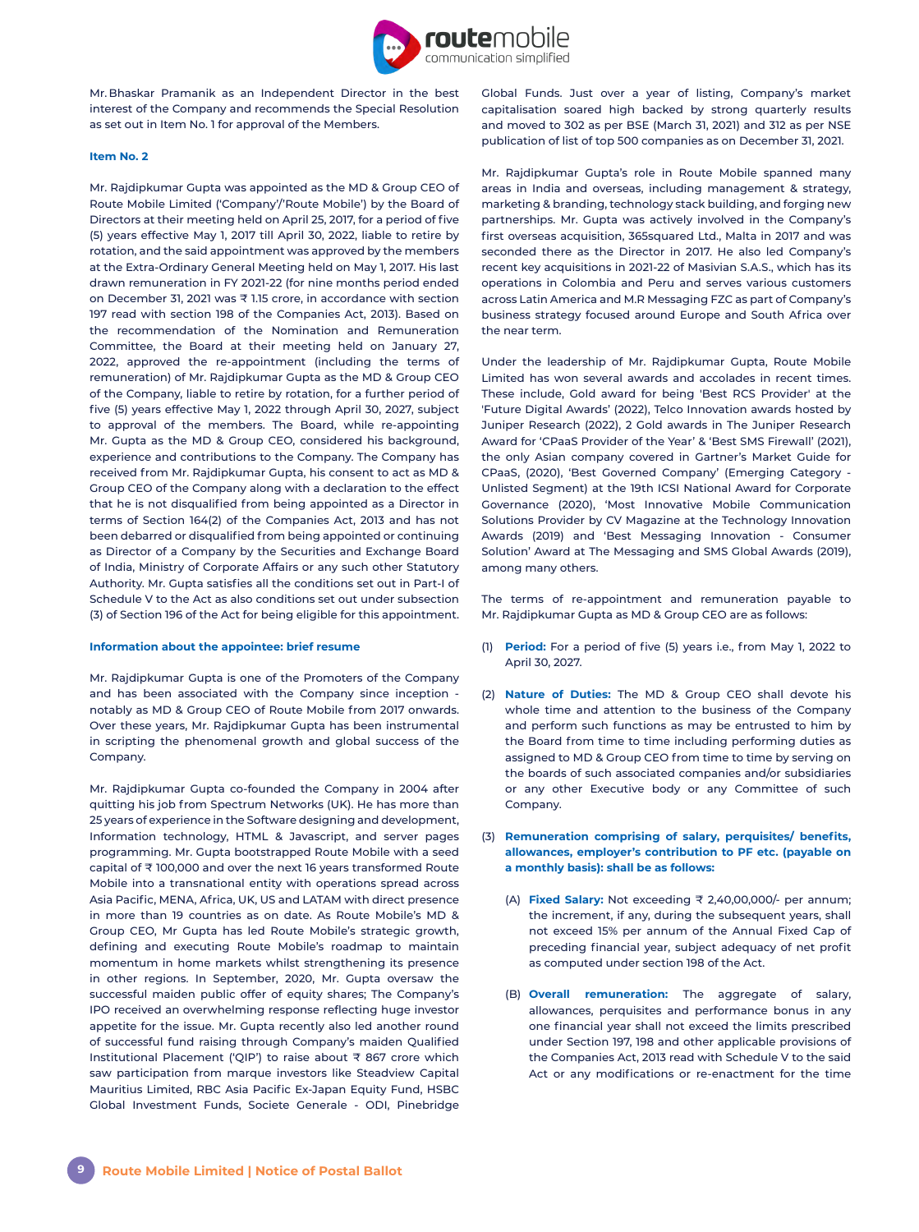

Mr. Bhaskar Pramanik as an Independent Director in the best interest of the Company and recommends the Special Resolution as set out in Item No. 1 for approval of the Members.

#### **Item No. 2**

Mr. Rajdipkumar Gupta was appointed as the MD & Group CEO of Route Mobile Limited ('Company'/'Route Mobile') by the Board of Directors at their meeting held on April 25, 2017, for a period of five (5) years effective May 1, 2017 till April 30, 2022, liable to retire by rotation, and the said appointment was approved by the members at the Extra-Ordinary General Meeting held on May 1, 2017. His last drawn remuneration in FY 2021-22 (for nine months period ended on December 31, 2021 was ₹ 1.15 crore, in accordance with section 197 read with section 198 of the Companies Act, 2013). Based on the recommendation of the Nomination and Remuneration Committee, the Board at their meeting held on January 27, 2022, approved the re-appointment (including the terms of remuneration) of Mr. Rajdipkumar Gupta as the MD & Group CEO of the Company, liable to retire by rotation, for a further period of five (5) years effective May 1, 2022 through April 30, 2027, subject to approval of the members. The Board, while re-appointing Mr. Gupta as the MD & Group CEO, considered his background, experience and contributions to the Company. The Company has received from Mr. Rajdipkumar Gupta, his consent to act as MD & Group CEO of the Company along with a declaration to the effect that he is not disqualified from being appointed as a Director in terms of Section 164(2) of the Companies Act, 2013 and has not been debarred or disqualified from being appointed or continuing as Director of a Company by the Securities and Exchange Board of India, Ministry of Corporate Affairs or any such other Statutory Authority. Mr. Gupta satisfies all the conditions set out in Part-I of Schedule V to the Act as also conditions set out under subsection (3) of Section 196 of the Act for being eligible for this appointment.

#### **Information about the appointee: brief resume**

Mr. Rajdipkumar Gupta is one of the Promoters of the Company and has been associated with the Company since inception notably as MD & Group CEO of Route Mobile from 2017 onwards. Over these years, Mr. Rajdipkumar Gupta has been instrumental in scripting the phenomenal growth and global success of the Company.

Mr. Rajdipkumar Gupta co-founded the Company in 2004 after quitting his job from Spectrum Networks (UK). He has more than 25 years of experience in the Software designing and development, Information technology, HTML & Javascript, and server pages programming. Mr. Gupta bootstrapped Route Mobile with a seed capital of ₹ 100,000 and over the next 16 years transformed Route Mobile into a transnational entity with operations spread across Asia Pacific, MENA, Africa, UK, US and LATAM with direct presence in more than 19 countries as on date. As Route Mobile's MD & Group CEO, Mr Gupta has led Route Mobile's strategic growth, defining and executing Route Mobile's roadmap to maintain momentum in home markets whilst strengthening its presence in other regions. In September, 2020, Mr. Gupta oversaw the successful maiden public offer of equity shares; The Company's IPO received an overwhelming response reflecting huge investor appetite for the issue. Mr. Gupta recently also led another round of successful fund raising through Company's maiden Qualified Institutional Placement ('QIP') to raise about ₹ 867 crore which saw participation from marque investors like Steadview Capital Mauritius Limited, RBC Asia Pacific Ex-Japan Equity Fund, HSBC Global Investment Funds, Societe Generale - ODI, Pinebridge

Global Funds. Just over a year of listing, Company's market capitalisation soared high backed by strong quarterly results and moved to 302 as per BSE (March 31, 2021) and 312 as per NSE publication of list of top 500 companies as on December 31, 2021.

Mr. Rajdipkumar Gupta's role in Route Mobile spanned many areas in India and overseas, including management & strategy, marketing & branding, technology stack building, and forging new partnerships. Mr. Gupta was actively involved in the Company's first overseas acquisition, 365squared Ltd., Malta in 2017 and was seconded there as the Director in 2017. He also led Company's recent key acquisitions in 2021-22 of Masivian S.A.S., which has its operations in Colombia and Peru and serves various customers across Latin America and M.R Messaging FZC as part of Company's business strategy focused around Europe and South Africa over the near term.

Under the leadership of Mr. Rajdipkumar Gupta, Route Mobile Limited has won several awards and accolades in recent times. These include, Gold award for being 'Best RCS Provider' at the 'Future Digital Awards' (2022), Telco Innovation awards hosted by Juniper Research (2022), 2 Gold awards in The Juniper Research Award for 'CPaaS Provider of the Year' & 'Best SMS Firewall' (2021), the only Asian company covered in Gartner's Market Guide for CPaaS, (2020), 'Best Governed Company' (Emerging Category - Unlisted Segment) at the 19th ICSI National Award for Corporate Governance (2020), 'Most Innovative Mobile Communication Solutions Provider by CV Magazine at the Technology Innovation Awards (2019) and 'Best Messaging Innovation - Consumer Solution' Award at The Messaging and SMS Global Awards (2019), among many others.

The terms of re-appointment and remuneration payable to Mr. Rajdipkumar Gupta as MD & Group CEO are as follows:

- (1) **Period:** For a period of five (5) years i.e., from May 1, 2022 to April 30, 2027.
- (2) **Nature of Duties:** The MD & Group CEO shall devote his whole time and attention to the business of the Company and perform such functions as may be entrusted to him by the Board from time to time including performing duties as assigned to MD & Group CEO from time to time by serving on the boards of such associated companies and/or subsidiaries or any other Executive body or any Committee of such Company.
- (3) **Remuneration comprising of salary, perquisites/ benefits, allowances, employer's contribution to PF etc. (payable on a monthly basis): shall be as follows:** 
	- (A) **Fixed Salary:** Not exceeding ₹ 2,40,00,000/- per annum; the increment, if any, during the subsequent years, shall not exceed 15% per annum of the Annual Fixed Cap of preceding financial year, subject adequacy of net profit as computed under section 198 of the Act.
	- (B) **Overall remuneration:** The aggregate of salary, allowances, perquisites and performance bonus in any one financial year shall not exceed the limits prescribed under Section 197, 198 and other applicable provisions of the Companies Act, 2013 read with Schedule V to the said Act or any modifications or re-enactment for the time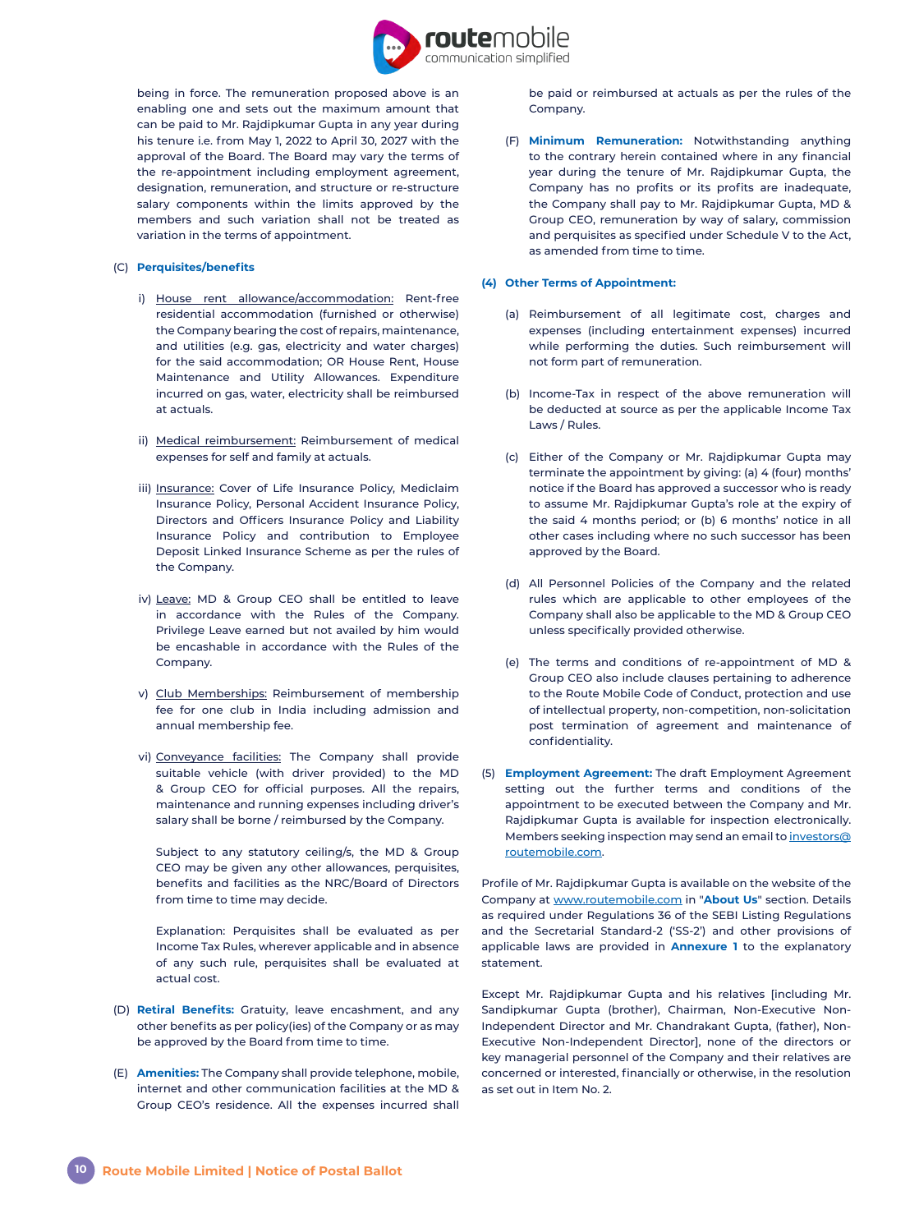

being in force. The remuneration proposed above is an enabling one and sets out the maximum amount that can be paid to Mr. Rajdipkumar Gupta in any year during his tenure i.e. from May 1, 2022 to April 30, 2027 with the approval of the Board. The Board may vary the terms of the re-appointment including employment agreement, designation, remuneration, and structure or re-structure salary components within the limits approved by the members and such variation shall not be treated as variation in the terms of appointment.

#### (C) **Perquisites/benefits**

- i) House rent allowance/accommodation: Rent-free residential accommodation (furnished or otherwise) the Company bearing the cost of repairs, maintenance, and utilities (e.g. gas, electricity and water charges) for the said accommodation; OR House Rent, House Maintenance and Utility Allowances. Expenditure incurred on gas, water, electricity shall be reimbursed at actuals.
- ii) Medical reimbursement: Reimbursement of medical expenses for self and family at actuals.
- iii) Insurance: Cover of Life Insurance Policy, Mediclaim Insurance Policy, Personal Accident Insurance Policy, Directors and Officers Insurance Policy and Liability Insurance Policy and contribution to Employee Deposit Linked Insurance Scheme as per the rules of the Company.
- iv) Leave: MD & Group CEO shall be entitled to leave in accordance with the Rules of the Company. Privilege Leave earned but not availed by him would be encashable in accordance with the Rules of the Company.
- v) Club Memberships: Reimbursement of membership fee for one club in India including admission and annual membership fee.
- vi) Conveyance facilities: The Company shall provide suitable vehicle (with driver provided) to the MD & Group CEO for official purposes. All the repairs, maintenance and running expenses including driver's salary shall be borne / reimbursed by the Company.

Subject to any statutory ceiling/s, the MD & Group CEO may be given any other allowances, perquisites, benefits and facilities as the NRC/Board of Directors from time to time may decide.

Explanation: Perquisites shall be evaluated as per Income Tax Rules, wherever applicable and in absence of any such rule, perquisites shall be evaluated at actual cost.

- (D) **Retiral Benefits:** Gratuity, leave encashment, and any other benefits as per policy(ies) of the Company or as may be approved by the Board from time to time.
- (E) **Amenities:** The Company shall provide telephone, mobile, internet and other communication facilities at the MD & Group CEO's residence. All the expenses incurred shall

be paid or reimbursed at actuals as per the rules of the Company.

(F) **Minimum Remuneration:** Notwithstanding anything to the contrary herein contained where in any financial year during the tenure of Mr. Rajdipkumar Gupta, the Company has no profits or its profits are inadequate, the Company shall pay to Mr. Rajdipkumar Gupta, MD & Group CEO, remuneration by way of salary, commission and perquisites as specified under Schedule V to the Act, as amended from time to time.

#### **(4) Other Terms of Appointment:**

- (a) Reimbursement of all legitimate cost, charges and expenses (including entertainment expenses) incurred while performing the duties. Such reimbursement will not form part of remuneration.
- (b) Income-Tax in respect of the above remuneration will be deducted at source as per the applicable Income Tax Laws / Rules.
- (c) Either of the Company or Mr. Rajdipkumar Gupta may terminate the appointment by giving: (a) 4 (four) months' notice if the Board has approved a successor who is ready to assume Mr. Rajdipkumar Gupta's role at the expiry of the said 4 months period; or (b) 6 months' notice in all other cases including where no such successor has been approved by the Board.
- (d) All Personnel Policies of the Company and the related rules which are applicable to other employees of the Company shall also be applicable to the MD & Group CEO unless specifically provided otherwise.
- (e) The terms and conditions of re-appointment of MD & Group CEO also include clauses pertaining to adherence to the Route Mobile Code of Conduct, protection and use of intellectual property, non-competition, non-solicitation post termination of agreement and maintenance of confidentiality.
- (5) **Employment Agreement:** The draft Employment Agreement setting out the further terms and conditions of the appointment to be executed between the Company and Mr. Rajdipkumar Gupta is available for inspection electronically. Members seeking inspection may send an email to [investors@](mailto:investors%40routemobile.com?subject=) [routemobile.com.](mailto:investors%40routemobile.com?subject=)

Profile of Mr. Rajdipkumar Gupta is available on the website of the Company at [www.routemobile.com](http://www.routemobile.com) in "**About Us**" section. Details as required under Regulations 36 of the SEBI Listing Regulations and the Secretarial Standard-2 ('SS-2') and other provisions of applicable laws are provided in **Annexure 1** to the explanatory statement.

Except Mr. Rajdipkumar Gupta and his relatives [including Mr. Sandipkumar Gupta (brother), Chairman, Non-Executive Non-Independent Director and Mr. Chandrakant Gupta, (father), Non-Executive Non-Independent Director], none of the directors or key managerial personnel of the Company and their relatives are concerned or interested, financially or otherwise, in the resolution as set out in Item No. 2.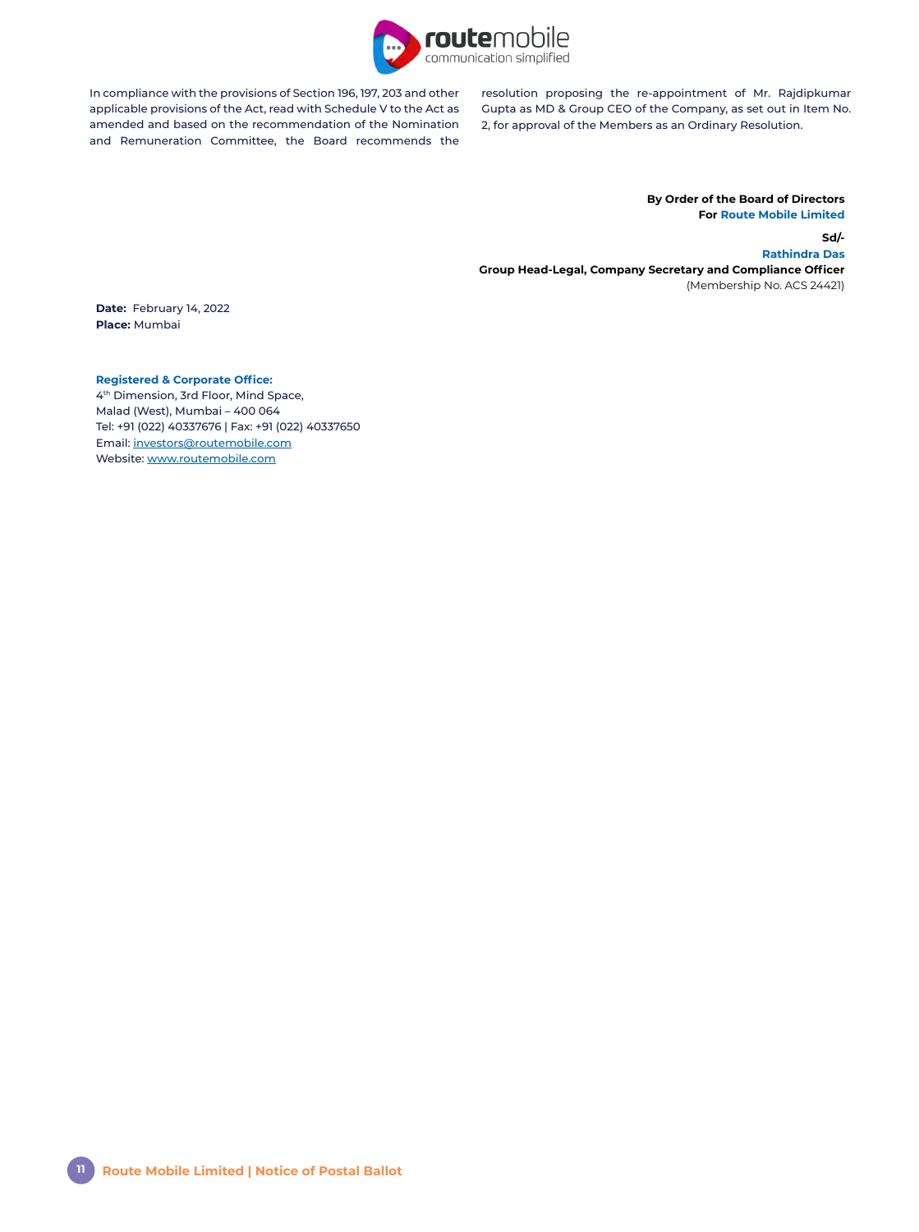

In compliance with the provisions of Section 196, 197, 203 and other applicable provisions of the Act, read with Schedule V to the Act as amended and based on the recommendation of the Nomination and Remuneration Committee, the Board recommends the

resolution proposing the re-appointment of Mr. Rajdipkumar Gupta as MD & Group CEO of the Company, as set out in Item No. 2, for approval of the Members as an Ordinary Resolution.

### **By Order of the Board of Directors For Route Mobile Limited**

**Sd/- Rathindra Das Group Head-Legal, Company Secretary and Compliance Officer** (Membership No. ACS 24421)

**Date:** February 14, 2022 **Place:** Mumbai

# **Registered & Corporate Office:**

4th Dimension, 3rd Floor, Mind Space, Malad (West), Mumbai – 400 064 Tel: +91 (022) 40337676 | Fax: +91 (022) 40337650 Email: [investors@routemobile.com](mailto:investors%40routemobile.com?subject=) Website: [www.routemobile.com](http://www.routemobile.com)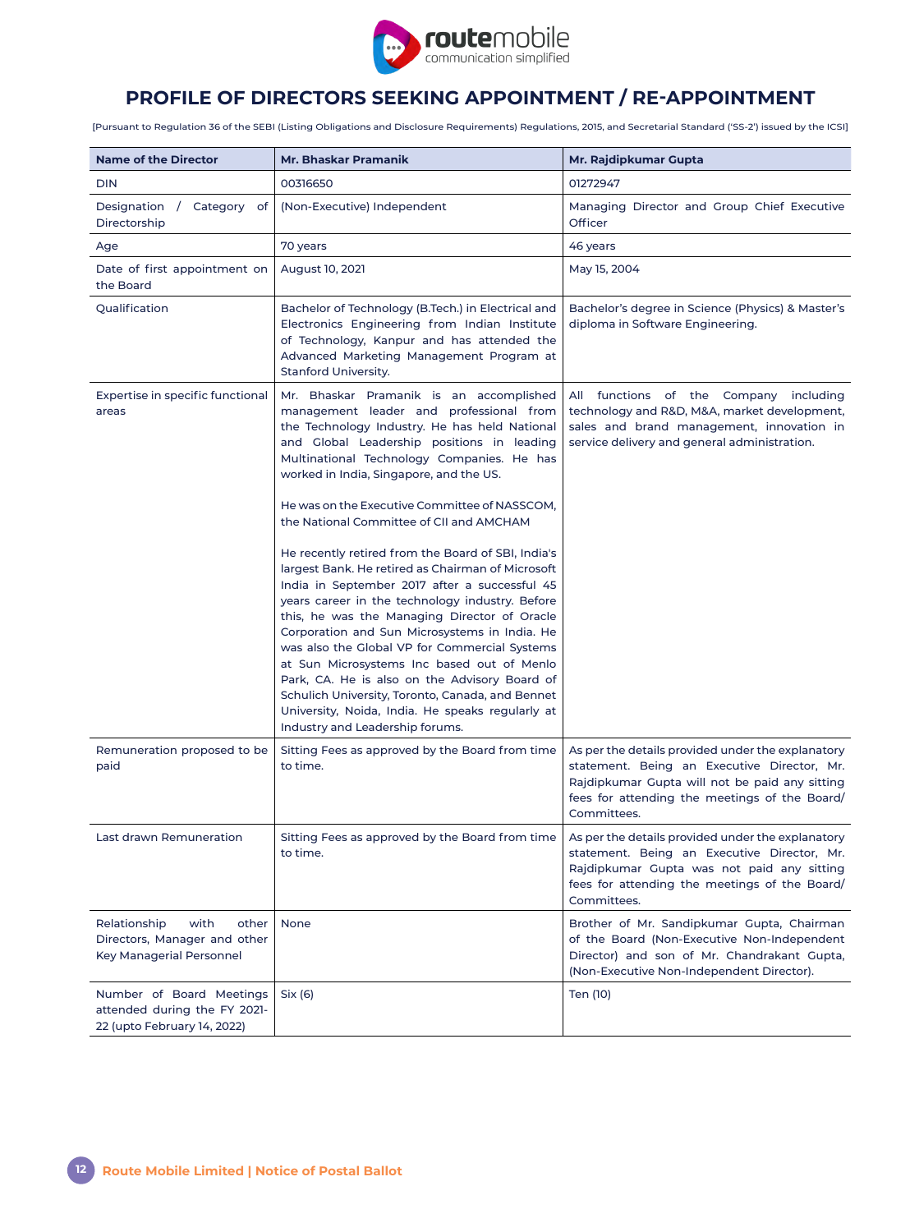

# **PROFILE OF DIRECTORS SEEKING APPOINTMENT / RE-APPOINTMENT**

[Pursuant to Regulation 36 of the SEBI (Listing Obligations and Disclosure Requirements) Regulations, 2015, and Secretarial Standard ('SS-2') issued by the ICSI]

| <b>Name of the Director</b>                                                               | Mr. Bhaskar Pramanik                                                                                                                                                                                                                                                                                                                                                                                                                                                                                                                                                                                    | Mr. Rajdipkumar Gupta                                                                                                                                                                                              |
|-------------------------------------------------------------------------------------------|---------------------------------------------------------------------------------------------------------------------------------------------------------------------------------------------------------------------------------------------------------------------------------------------------------------------------------------------------------------------------------------------------------------------------------------------------------------------------------------------------------------------------------------------------------------------------------------------------------|--------------------------------------------------------------------------------------------------------------------------------------------------------------------------------------------------------------------|
| <b>DIN</b>                                                                                | 00316650                                                                                                                                                                                                                                                                                                                                                                                                                                                                                                                                                                                                | 01272947                                                                                                                                                                                                           |
| Designation / Category of<br>Directorship                                                 | (Non-Executive) Independent                                                                                                                                                                                                                                                                                                                                                                                                                                                                                                                                                                             | Managing Director and Group Chief Executive<br>Officer                                                                                                                                                             |
| Age                                                                                       | 70 years                                                                                                                                                                                                                                                                                                                                                                                                                                                                                                                                                                                                | 46 years                                                                                                                                                                                                           |
| Date of first appointment on<br>the Board                                                 | August 10, 2021                                                                                                                                                                                                                                                                                                                                                                                                                                                                                                                                                                                         | May 15, 2004                                                                                                                                                                                                       |
| Qualification                                                                             | Bachelor of Technology (B.Tech.) in Electrical and<br>Electronics Engineering from Indian Institute<br>of Technology, Kanpur and has attended the<br>Advanced Marketing Management Program at<br><b>Stanford University.</b>                                                                                                                                                                                                                                                                                                                                                                            | Bachelor's degree in Science (Physics) & Master's<br>diploma in Software Engineering.                                                                                                                              |
| Expertise in specific functional<br>areas                                                 | Mr. Bhaskar Pramanik is an accomplished<br>management leader and professional from<br>the Technology Industry. He has held National<br>and Global Leadership positions in leading<br>Multinational Technology Companies. He has<br>worked in India, Singapore, and the US.                                                                                                                                                                                                                                                                                                                              | All functions of the Company including<br>technology and R&D, M&A, market development,<br>sales and brand management, innovation in<br>service delivery and general administration.                                |
|                                                                                           | He was on the Executive Committee of NASSCOM.<br>the National Committee of CII and AMCHAM                                                                                                                                                                                                                                                                                                                                                                                                                                                                                                               |                                                                                                                                                                                                                    |
|                                                                                           | He recently retired from the Board of SBI, India's<br>largest Bank. He retired as Chairman of Microsoft<br>India in September 2017 after a successful 45<br>years career in the technology industry. Before<br>this, he was the Managing Director of Oracle<br>Corporation and Sun Microsystems in India. He<br>was also the Global VP for Commercial Systems<br>at Sun Microsystems Inc based out of Menlo<br>Park, CA. He is also on the Advisory Board of<br>Schulich University, Toronto, Canada, and Bennet<br>University, Noida, India. He speaks regularly at<br>Industry and Leadership forums. |                                                                                                                                                                                                                    |
| Remuneration proposed to be<br>paid                                                       | Sitting Fees as approved by the Board from time<br>to time.                                                                                                                                                                                                                                                                                                                                                                                                                                                                                                                                             | As per the details provided under the explanatory<br>statement. Being an Executive Director, Mr.<br>Rajdipkumar Gupta will not be paid any sitting<br>fees for attending the meetings of the Board/<br>Committees. |
| Last drawn Remuneration                                                                   | Sitting Fees as approved by the Board from time<br>to time.                                                                                                                                                                                                                                                                                                                                                                                                                                                                                                                                             | As per the details provided under the explanatory<br>statement. Being an Executive Director, Mr.<br>Rajdipkumar Gupta was not paid any sitting<br>fees for attending the meetings of the Board/<br>Committees.     |
| with<br>Relationship<br>other<br>Directors, Manager and other<br>Key Managerial Personnel | None                                                                                                                                                                                                                                                                                                                                                                                                                                                                                                                                                                                                    | Brother of Mr. Sandipkumar Gupta, Chairman<br>of the Board (Non-Executive Non-Independent<br>Director) and son of Mr. Chandrakant Gupta,<br>(Non-Executive Non-Independent Director).                              |
| Number of Board Meetings<br>attended during the FY 2021-<br>22 (upto February 14, 2022)   | Six (6)                                                                                                                                                                                                                                                                                                                                                                                                                                                                                                                                                                                                 | Ten (10)                                                                                                                                                                                                           |